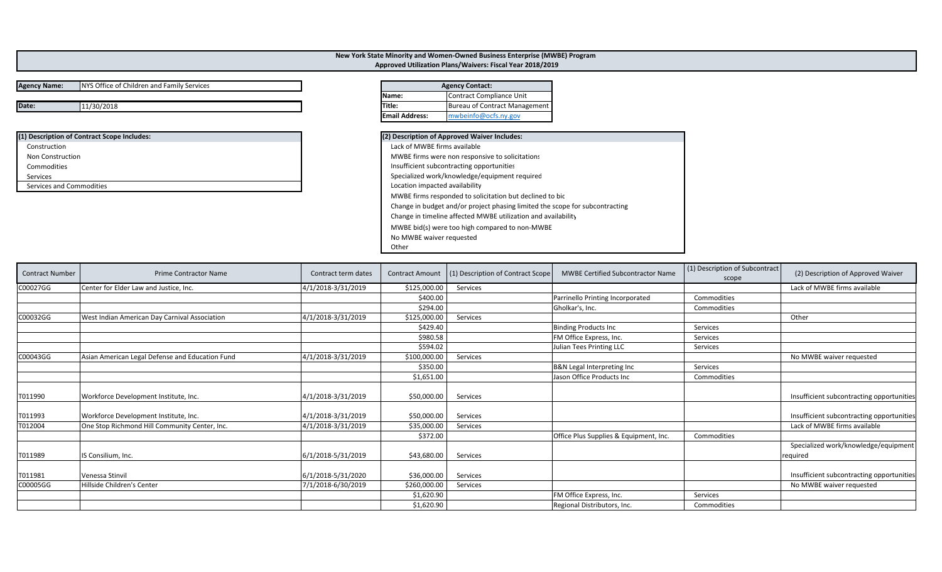## **Agency Name:** NYS Office of Children and Family Services

**Date:11/30/2018 Title:** Bureau of Contract Management

| (1) Description of Contract Scope Includes: | (2) Description of Approved Waiver Includes:    |
|---------------------------------------------|-------------------------------------------------|
| Construction                                | Lack of MWBE firms available                    |
| Non Construction                            | MWBE firms were non responsive to solicitations |
| Commodities                                 | Insufficient subcontracting opportunities       |
| Services                                    | Specialized work/knowledge/equipment required   |
| Services and Commodities                    | Location impacted availability                  |

|              | <b>Agency Contact:</b>   |
|--------------|--------------------------|
| <b>Name:</b> | Contract Compliance Unit |
|              |                          |

**New York State Minority and Women‐Owned Business Enterprise (MWBE) Program Approved Utilization Plans/Waivers: Fiscal Year 2018/2019**

**Email Address:**

mwbeinfo@ocfs.ny.gov

| (2) Description of Approved Waiver Includes:                                 |  |
|------------------------------------------------------------------------------|--|
| Lack of MWBE firms available                                                 |  |
| MWBE firms were non responsive to solicitations                              |  |
| Insufficient subcontracting opportunities                                    |  |
| Specialized work/knowledge/equipment required                                |  |
| Location impacted availability                                               |  |
| MWBE firms responded to solicitation but declined to bic                     |  |
| Change in budget and/or project phasing limited the scope for subcontracting |  |
| Change in timeline affected MWBE utilization and availability                |  |
| MWBE bid(s) were too high compared to non-MWBE                               |  |
| No MWBE waiver requested                                                     |  |
| Other                                                                        |  |

| <b>Contract Number</b> | <b>Prime Contractor Name</b>                    | Contract term dates | <b>Contract Amount</b> | (1) Description of Contract Scope | <b>MWBE Certified Subcontractor Name</b> | (1) Description of Subcontract<br>scope | (2) Description of Approved Waiver        |
|------------------------|-------------------------------------------------|---------------------|------------------------|-----------------------------------|------------------------------------------|-----------------------------------------|-------------------------------------------|
| C00027GG               | Center for Elder Law and Justice, Inc.          | 4/1/2018-3/31/2019  | \$125,000.00           | Services                          |                                          |                                         | Lack of MWBE firms available              |
|                        |                                                 |                     | \$400.00               |                                   | Parrinello Printing Incorporated         | Commodities                             |                                           |
|                        |                                                 |                     | \$294.00               |                                   | Gholkar's, Inc.                          | Commodities                             |                                           |
| C00032GG               | West Indian American Day Carnival Association   | 4/1/2018-3/31/2019  | \$125,000.00           | Services                          |                                          |                                         | Other                                     |
|                        |                                                 |                     | \$429.40               |                                   | <b>Binding Products Inc</b>              | Services                                |                                           |
|                        |                                                 |                     | \$980.58               |                                   | FM Office Express, Inc.                  | Services                                |                                           |
|                        |                                                 |                     | \$594.02               |                                   | Julian Tees Printing LLC                 | Services                                |                                           |
| C00043GG               | Asian American Legal Defense and Education Fund | 4/1/2018-3/31/2019  | \$100,000.00           | Services                          |                                          |                                         | No MWBE waiver requested                  |
|                        |                                                 |                     | \$350.00               |                                   | B&N Legal Interpreting Inc               | Services                                |                                           |
|                        |                                                 |                     | \$1,651.00             |                                   | Jason Office Products Inc                | Commodities                             |                                           |
| T011990                | Workforce Development Institute, Inc.           | 4/1/2018-3/31/2019  | \$50,000.00            | Services                          |                                          |                                         | Insufficient subcontracting opportunities |
| T011993                | Workforce Development Institute, Inc.           | 4/1/2018-3/31/2019  | \$50,000.00            | Services                          |                                          |                                         | Insufficient subcontracting opportunities |
| T012004                | One Stop Richmond Hill Community Center, Inc.   | 4/1/2018-3/31/2019  | \$35,000.00            | Services                          |                                          |                                         | Lack of MWBE firms available              |
|                        |                                                 |                     | \$372.00               |                                   | Office Plus Supplies & Equipment, Inc.   | Commodities                             |                                           |
|                        |                                                 |                     |                        |                                   |                                          |                                         | Specialized work/knowledge/equipment      |
| T011989                | IS Consilium, Inc.                              | 6/1/2018-5/31/2019  | \$43,680.00            | Services                          |                                          |                                         | required                                  |
|                        |                                                 |                     |                        |                                   |                                          |                                         |                                           |
| T011981                | Venessa Stinvil                                 | 6/1/2018-5/31/2020  | \$36,000.00            | Services                          |                                          |                                         | Insufficient subcontracting opportunities |
| C00005GG               | Hillside Children's Center                      | 7/1/2018-6/30/2019  | \$260,000.00           | Services                          |                                          |                                         | No MWBE waiver requested                  |
|                        |                                                 |                     | \$1,620.90             |                                   | FM Office Express, Inc.                  | Services                                |                                           |
|                        |                                                 |                     | \$1,620.90             |                                   | Regional Distributors, Inc.              | Commodities                             |                                           |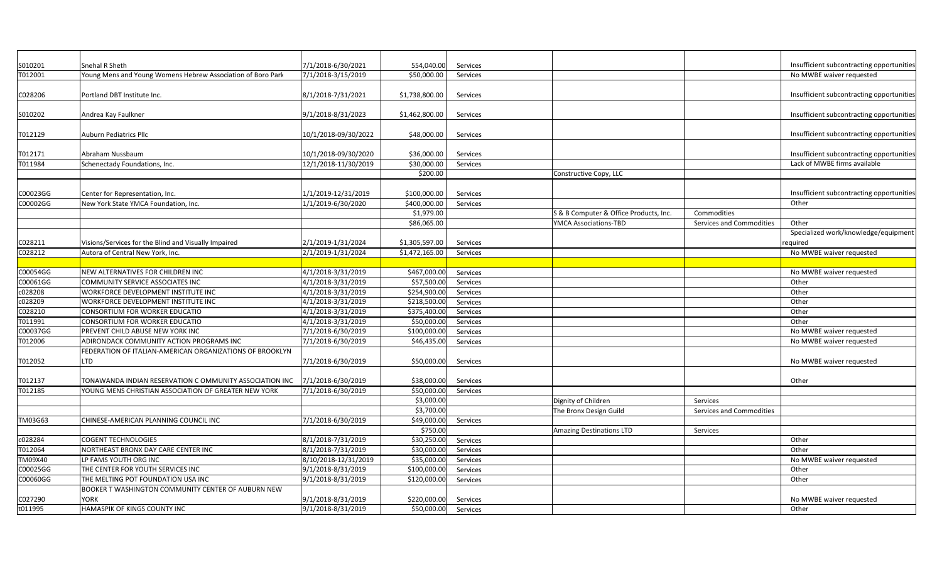| S010201  | Snehal R Sheth                                              | 7/1/2018-6/30/2021   | 554,040.00     | Services |                                        |                          | Insufficient subcontracting opportunities |
|----------|-------------------------------------------------------------|----------------------|----------------|----------|----------------------------------------|--------------------------|-------------------------------------------|
| T012001  | Young Mens and Young Womens Hebrew Association of Boro Park | 7/1/2018-3/15/2019   | \$50,000.00    | Services |                                        |                          | No MWBE waiver requested                  |
|          |                                                             |                      |                |          |                                        |                          |                                           |
| C028206  | Portland DBT Institute Inc.                                 | 8/1/2018-7/31/2021   | \$1,738,800.00 | Services |                                        |                          | Insufficient subcontracting opportunities |
|          |                                                             |                      |                |          |                                        |                          |                                           |
| S010202  | Andrea Kay Faulkner                                         | 9/1/2018-8/31/2023   | \$1,462,800.00 | Services |                                        |                          | Insufficient subcontracting opportunities |
|          |                                                             |                      |                |          |                                        |                          |                                           |
| T012129  | <b>Auburn Pediatrics Pllc</b>                               | 10/1/2018-09/30/2022 | \$48,000.00    | Services |                                        |                          | Insufficient subcontracting opportunities |
|          |                                                             |                      |                |          |                                        |                          |                                           |
| T012171  | Abraham Nussbaum                                            | 10/1/2018-09/30/2020 | \$36,000.00    | Services |                                        |                          | Insufficient subcontracting opportunities |
| T011984  | Schenectady Foundations, Inc.                               | 12/1/2018-11/30/2019 | \$30,000.00    | Services |                                        |                          | Lack of MWBE firms available              |
|          |                                                             |                      | \$200.00       |          | Constructive Copy, LLC                 |                          |                                           |
|          |                                                             |                      |                |          |                                        |                          |                                           |
| C00023GG | Center for Representation, Inc.                             | 1/1/2019-12/31/2019  | \$100,000.00   | Services |                                        |                          | Insufficient subcontracting opportunities |
| C00002GG | New York State YMCA Foundation, Inc.                        | 1/1/2019-6/30/2020   | \$400,000.00   | Services |                                        |                          | Other                                     |
|          |                                                             |                      | \$1,979.00     |          | S & B Computer & Office Products, Inc. | Commodities              |                                           |
|          |                                                             |                      | \$86,065.00    |          | <b>YMCA Associations-TBD</b>           | Services and Commodities | Other                                     |
|          |                                                             |                      |                |          |                                        |                          | Specialized work/knowledge/equipment      |
| C028211  | Visions/Services for the Blind and Visually Impaired        | 2/1/2019-1/31/2024   | \$1,305,597.00 | Services |                                        |                          | required                                  |
| C028212  | Autora of Central New York, Inc.                            | 2/1/2019-1/31/2024   | \$1,472,165.00 | Services |                                        |                          | No MWBE waiver requested                  |
|          |                                                             |                      |                |          |                                        |                          |                                           |
| C00054GG | NEW ALTERNATIVES FOR CHILDREN INC                           | 4/1/2018-3/31/2019   | \$467,000.00   | Services |                                        |                          | No MWBE waiver requested                  |
| C00061GG | COMMUNITY SERVICE ASSOCIATES INC                            | 4/1/2018-3/31/2019   | \$57,500.00    | Services |                                        |                          | Other                                     |
| c028208  | WORKFORCE DEVELOPMENT INSTITUTE INC                         | 4/1/2018-3/31/2019   | \$254,900.00   | Services |                                        |                          | Other                                     |
| c028209  | WORKFORCE DEVELOPMENT INSTITUTE INC                         | 4/1/2018-3/31/2019   | \$218,500.00   | Services |                                        |                          | Other                                     |
| C028210  | CONSORTIUM FOR WORKER EDUCATIO                              | 4/1/2018-3/31/2019   | \$375,400.00   | Services |                                        |                          | Other                                     |
| T011991  | CONSORTIUM FOR WORKER EDUCATIO                              | 4/1/2018-3/31/2019   | \$50,000.00    | Services |                                        |                          | Other                                     |
| C00037GG | PREVENT CHILD ABUSE NEW YORK INC                            | 7/1/2018-6/30/2019   | \$100,000.00   | Services |                                        |                          | No MWBE waiver requested                  |
| T012006  | ADIRONDACK COMMUNITY ACTION PROGRAMS INC                    | 7/1/2018-6/30/2019   | \$46,435.00    | Services |                                        |                          | No MWBE waiver requested                  |
|          | FEDERATION OF ITALIAN-AMERICAN ORGANIZATIONS OF BROOKLYN    |                      |                |          |                                        |                          |                                           |
| T012052  | <b>LTD</b>                                                  | 7/1/2018-6/30/2019   | \$50,000.00    | Services |                                        |                          | No MWBE waiver requested                  |
|          |                                                             |                      |                |          |                                        |                          |                                           |
| T012137  | FONAWANDA INDIAN RESERVATION C OMMUNITY ASSOCIATION INC     | 7/1/2018-6/30/2019   | \$38,000.00    | Services |                                        |                          | Other                                     |
| T012185  | YOUNG MENS CHRISTIAN ASSOCIATION OF GREATER NEW YORK        | 7/1/2018-6/30/2019   | \$50,000.00    | Services |                                        |                          |                                           |
|          |                                                             |                      | \$3,000.00     |          | Dignity of Children                    | Services                 |                                           |
|          |                                                             |                      | \$3,700.00     |          | The Bronx Design Guild                 | Services and Commodities |                                           |
| TM03G63  | CHINESE-AMERICAN PLANNING COUNCIL INC                       | 7/1/2018-6/30/2019   | \$49,000.00    | Services |                                        |                          |                                           |
|          |                                                             |                      | \$750.00       |          | <b>Amazing Destinations LTD</b>        | Services                 |                                           |
| c028284  | <b>COGENT TECHNOLOGIES</b>                                  | 8/1/2018-7/31/2019   | \$30,250.00    | Services |                                        |                          | Other                                     |
| T012064  | NORTHEAST BRONX DAY CARE CENTER INC                         | 8/1/2018-7/31/2019   | \$30,000.00    | Services |                                        |                          | Other                                     |
| TM09X40  | LP FAMS YOUTH ORG INC                                       | 8/10/2018-12/31/2019 | \$35,000.00    | Services |                                        |                          | No MWBE waiver requested                  |
| C00025GG | THE CENTER FOR YOUTH SERVICES INC                           | 9/1/2018-8/31/2019   | \$100,000.00   | Services |                                        |                          | Other                                     |
| C00060GG | THE MELTING POT FOUNDATION USA INC                          | 9/1/2018-8/31/2019   | \$120,000.00   | Services |                                        |                          | Other                                     |
|          | BOOKER T WASHINGTON COMMUNITY CENTER OF AUBURN NEW          |                      |                |          |                                        |                          |                                           |
| C027290  | <b>YORK</b>                                                 | 9/1/2018-8/31/2019   | \$220,000.00   | Services |                                        |                          | No MWBE waiver requested                  |
| t011995  | HAMASPIK OF KINGS COUNTY INC                                | 9/1/2018-8/31/2019   | \$50,000.00    | Services |                                        |                          | Other                                     |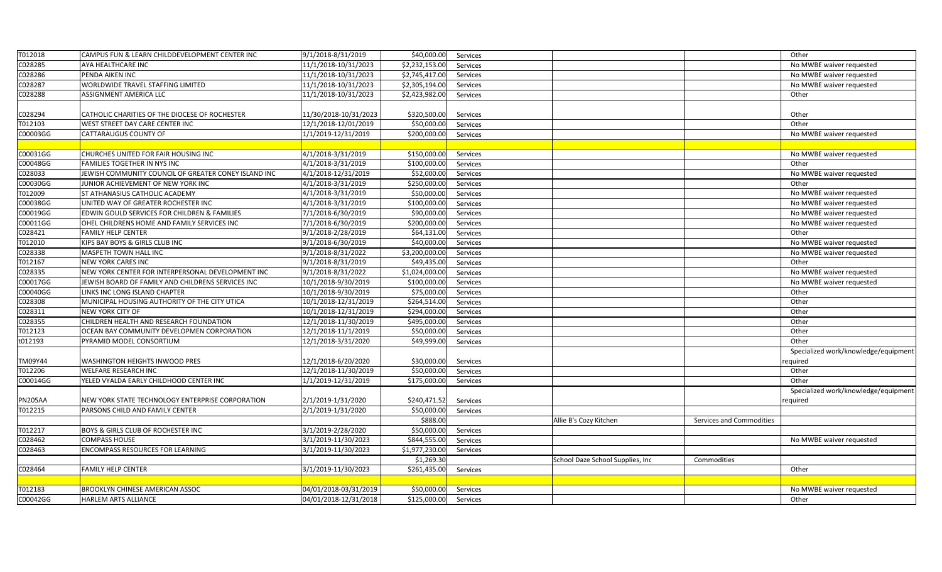| T012018        | CAMPUS FUN & LEARN CHILDDEVELOPMENT CENTER INC       | 9/1/2018-8/31/2019    | \$40,000.00    | Services |                                  |                          | Other                                |
|----------------|------------------------------------------------------|-----------------------|----------------|----------|----------------------------------|--------------------------|--------------------------------------|
| C028285        | AYA HEALTHCARE INC                                   | 11/1/2018-10/31/2023  | \$2,232,153.00 | Services |                                  |                          | No MWBE waiver requested             |
| C028286        | PENDA AIKEN INC                                      | 11/1/2018-10/31/2023  | \$2,745,417.00 | Services |                                  |                          | No MWBE waiver requested             |
| C028287        | WORLDWIDE TRAVEL STAFFING LIMITED                    | 11/1/2018-10/31/2023  | \$2,305,194.00 | Services |                                  |                          | No MWBE waiver requested             |
| C028288        | <b>ASSIGNMENT AMERICA LLC</b>                        | 11/1/2018-10/31/2023  | \$2,423,982.00 | Services |                                  |                          | Other                                |
|                |                                                      |                       |                |          |                                  |                          |                                      |
| C028294        | CATHOLIC CHARITIES OF THE DIOCESE OF ROCHESTER       | 11/30/2018-10/31/2023 | \$320,500.00   | Services |                                  |                          | Other                                |
| T012103        | WEST STREET DAY CARE CENTER INC                      | 12/1/2018-12/01/2019  | \$50,000.00    | Services |                                  |                          | Other                                |
| C00003GG       | CATTARAUGUS COUNTY OF                                | 1/1/2019-12/31/2019   | \$200,000.00   | Services |                                  |                          | No MWBE waiver requested             |
|                |                                                      |                       |                |          |                                  |                          |                                      |
| C00031GG       | CHURCHES UNITED FOR FAIR HOUSING INC                 | 4/1/2018-3/31/2019    | \$150,000.00   | Services |                                  |                          | No MWBE waiver requested             |
| C00048GG       | FAMILIES TOGETHER IN NYS INC                         | 4/1/2018-3/31/2019    | \$100,000.00   | Services |                                  |                          | Other                                |
| C028033        | JEWISH COMMUNITY COUNCIL OF GREATER CONEY ISLAND INC | 4/1/2018-12/31/2019   | \$52,000.00    | Services |                                  |                          | No MWBE waiver requested             |
| C00030GG       | JUNIOR ACHIEVEMENT OF NEW YORK INC                   | 4/1/2018-3/31/2019    | \$250,000.00   | Services |                                  |                          | Other                                |
| T012009        | ST ATHANASIUS CATHOLIC ACADEMY                       | 4/1/2018-3/31/2019    | \$50,000.00    | Services |                                  |                          | No MWBE waiver requested             |
| C00038GG       | UNITED WAY OF GREATER ROCHESTER INC                  | 4/1/2018-3/31/2019    | \$100,000.00   | Services |                                  |                          | No MWBE waiver requested             |
| C00019GG       | EDWIN GOULD SERVICES FOR CHILDREN & FAMILIES         | 7/1/2018-6/30/2019    | \$90,000.00    | Services |                                  |                          | No MWBE waiver requested             |
| C00011GG       | OHEL CHILDRENS HOME AND FAMILY SERVICES INC          | 7/1/2018-6/30/2019    | \$200,000.00   | Services |                                  |                          | No MWBE waiver requested             |
| C028421        | FAMILY HELP CENTER                                   | 9/1/2018-2/28/2019    | \$64,131.00    | Services |                                  |                          | Other                                |
| T012010        | KIPS BAY BOYS & GIRLS CLUB INC                       | 9/1/2018-6/30/2019    | \$40,000.00    | Services |                                  |                          | No MWBE waiver requested             |
| C028338        | MASPETH TOWN HALL INC                                | 9/1/2018-8/31/2022    | \$3,200,000.00 | Services |                                  |                          | No MWBE waiver requested             |
| T012167        | NEW YORK CARES INC                                   | 9/1/2018-8/31/2019    | \$49,435.00    | Services |                                  |                          | Other                                |
| C028335        | NEW YORK CENTER FOR INTERPERSONAL DEVELOPMENT INC    | 9/1/2018-8/31/2022    | \$1,024,000.00 | Services |                                  |                          | No MWBE waiver requested             |
| C00017GG       | JEWISH BOARD OF FAMILY AND CHILDRENS SERVICES INC    | 10/1/2018-9/30/2019   | \$100,000.00   | Services |                                  |                          | No MWBE waiver requested             |
| C00040GG       | LINKS INC LONG ISLAND CHAPTER                        | 10/1/2018-9/30/2019   | \$75,000.00    | Services |                                  |                          | Other                                |
| C028308        | MUNICIPAL HOUSING AUTHORITY OF THE CITY UTICA        | 10/1/2018-12/31/2019  | \$264,514.00   | Services |                                  |                          | Other                                |
| C028311        | <b>NEW YORK CITY OF</b>                              | 10/1/2018-12/31/2019  | \$294,000.00   | Services |                                  |                          | Other                                |
| C028355        | CHILDREN HEALTH AND RESEARCH FOUNDATION              | 12/1/2018-11/30/2019  | \$495,000.00   | Services |                                  |                          | Other                                |
| T012123        | OCEAN BAY COMMUNITY DEVELOPMEN CORPORATION           | 12/1/2018-11/1/2019   | \$50,000.00    | Services |                                  |                          | Other                                |
| t012193        | PYRAMID MODEL CONSORTIUM                             | 12/1/2018-3/31/2020   | \$49,999.00    | Services |                                  |                          | Other                                |
|                |                                                      |                       |                |          |                                  |                          | Specialized work/knowledge/equipment |
| TM09Y44        | WASHINGTON HEIGHTS INWOOD PRES                       | 12/1/2018-6/20/2020   | \$30,000.00    | Services |                                  |                          | equired <sup>.</sup>                 |
| T012206        | WELFARE RESEARCH INC                                 | 12/1/2018-11/30/2019  | \$50,000.00    | Services |                                  |                          | Other                                |
| C00014GG       | YELED VYALDA EARLY CHILDHOOD CENTER INC              | 1/1/2019-12/31/2019   | \$175,000.00   | Services |                                  |                          | Other                                |
|                |                                                      |                       |                |          |                                  |                          | Specialized work/knowledge/equipment |
| <b>PN205AA</b> | NEW YORK STATE TECHNOLOGY ENTERPRISE CORPORATION     | 2/1/2019-1/31/2020    | \$240,471.52   | Services |                                  |                          | required                             |
| T012215        | PARSONS CHILD AND FAMILY CENTER                      | 2/1/2019-1/31/2020    | \$50,000.00    | Services |                                  |                          |                                      |
|                |                                                      |                       | \$888.00       |          | Allie B's Cozy Kitchen           | Services and Commodities |                                      |
| T012217        | BOYS & GIRLS CLUB OF ROCHESTER INC                   | 3/1/2019-2/28/2020    | \$50,000.00    | Services |                                  |                          |                                      |
| C028462        | <b>COMPASS HOUSE</b>                                 | 3/1/2019-11/30/2023   | \$844,555.00   | Services |                                  |                          | No MWBE waiver requested             |
| C028463        | <b>ENCOMPASS RESOURCES FOR LEARNING</b>              | 3/1/2019-11/30/2023   | \$1,977,230.00 | Services |                                  |                          |                                      |
|                |                                                      |                       | \$1,269.30     |          | School Daze School Supplies, Inc | Commodities              |                                      |
| C028464        | <b>FAMILY HELP CENTER</b>                            | 3/1/2019-11/30/2023   | \$261,435.00   | Services |                                  |                          | Other                                |
|                |                                                      |                       |                |          |                                  |                          |                                      |
| T012183        | <b>BROOKLYN CHINESE AMERICAN ASSOC</b>               | 04/01/2018-03/31/2019 | \$50,000.00    | Services |                                  |                          | No MWBE waiver requested             |
| C00042GG       | HARLEM ARTS ALLIANCE                                 | 04/01/2018-12/31/2018 | \$125,000.00   | Services |                                  |                          | Other                                |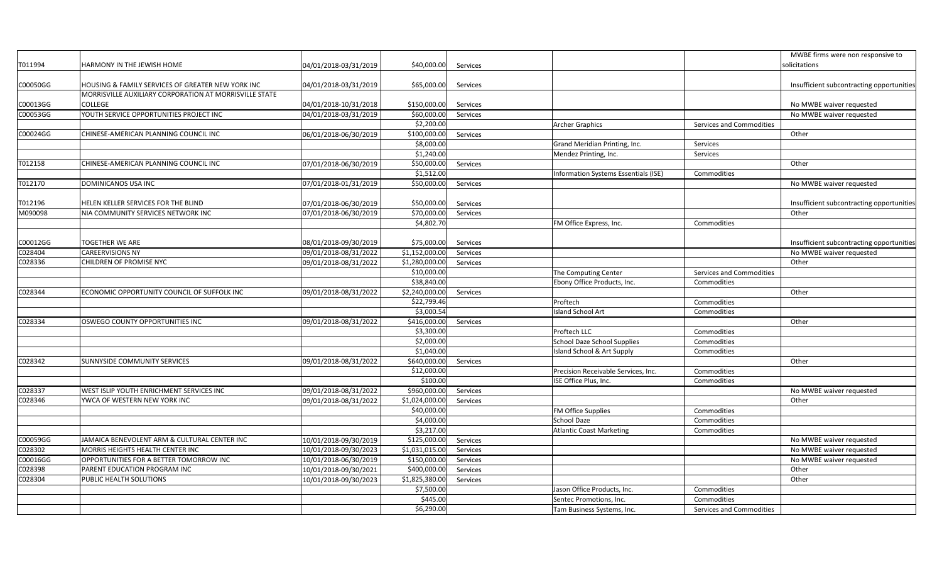|          |                                                        |                       |                |          |                                      |                          | MWBE firms were non responsive to         |
|----------|--------------------------------------------------------|-----------------------|----------------|----------|--------------------------------------|--------------------------|-------------------------------------------|
| T011994  | HARMONY IN THE JEWISH HOME                             | 04/01/2018-03/31/2019 | \$40,000.00    | Services |                                      |                          | solicitations                             |
|          |                                                        |                       |                |          |                                      |                          |                                           |
| C00050GG | HOUSING & FAMILY SERVICES OF GREATER NEW YORK INC      | 04/01/2018-03/31/2019 | \$65,000.00    | Services |                                      |                          | Insufficient subcontracting opportunities |
|          | MORRISVILLE AUXILIARY CORPORATION AT MORRISVILLE STATE |                       |                |          |                                      |                          |                                           |
| C00013GG | COLLEGE                                                | 04/01/2018-10/31/2018 | \$150,000.00   | Services |                                      |                          | No MWBE waiver requested                  |
| C00053GG | YOUTH SERVICE OPPORTUNITIES PROJECT INC                | 04/01/2018-03/31/2019 | \$60,000.00    | Services |                                      |                          | No MWBE waiver requested                  |
|          |                                                        |                       | \$2,200.00     |          | Archer Graphics                      | Services and Commodities |                                           |
| C00024GG | CHINESE-AMERICAN PLANNING COUNCIL INC                  | 06/01/2018-06/30/2019 | \$100,000.00   | Services |                                      |                          | Other                                     |
|          |                                                        |                       | \$8,000.00     |          | Grand Meridian Printing, Inc.        | Services                 |                                           |
|          |                                                        |                       | \$1,240.00     |          | Mendez Printing, Inc.                | Services                 |                                           |
| T012158  | CHINESE-AMERICAN PLANNING COUNCIL INC                  | 07/01/2018-06/30/2019 | \$50,000.00    | Services |                                      |                          | Other                                     |
|          |                                                        |                       | \$1,512.00     |          | Information Systems Essentials (ISE) | Commodities              |                                           |
| T012170  | DOMINICANOS USA INC                                    | 07/01/2018-01/31/2019 | \$50,000.00    | Services |                                      |                          | No MWBE waiver requested                  |
|          |                                                        |                       |                |          |                                      |                          |                                           |
| T012196  | HELEN KELLER SERVICES FOR THE BLIND                    | 07/01/2018-06/30/2019 | \$50,000.00    | Services |                                      |                          | Insufficient subcontracting opportunities |
| M090098  | NIA COMMUNITY SERVICES NETWORK INC                     | 07/01/2018-06/30/2019 | \$70,000.00    | Services |                                      |                          | Other                                     |
|          |                                                        |                       | \$4,802.70     |          | FM Office Express, Inc.              | Commodities              |                                           |
|          |                                                        |                       |                |          |                                      |                          |                                           |
| C00012GG | TOGETHER WE ARE                                        | 08/01/2018-09/30/2019 | \$75,000.00    | Services |                                      |                          | Insufficient subcontracting opportunities |
| C028404  | <b>CAREERVISIONS NY</b>                                | 09/01/2018-08/31/2022 | \$1,152,000.00 | Services |                                      |                          | No MWBE waiver requested                  |
| C028336  | CHILDREN OF PROMISE NYC                                | 09/01/2018-08/31/2022 | \$1,280,000.00 | Services |                                      |                          | Other                                     |
|          |                                                        |                       | \$10,000.00    |          | The Computing Center                 | Services and Commodities |                                           |
|          |                                                        |                       | \$38,840.00    |          | Ebony Office Products, Inc.          | Commodities              |                                           |
| C028344  | ECONOMIC OPPORTUNITY COUNCIL OF SUFFOLK INC            | 09/01/2018-08/31/2022 | \$2,240,000.00 | Services |                                      |                          | Other                                     |
|          |                                                        |                       | \$22,799.46    |          | Proftech                             | Commodities              |                                           |
|          |                                                        |                       | \$3,000.54     |          | <b>Island School Art</b>             | Commodities              |                                           |
| C028334  | OSWEGO COUNTY OPPORTUNITIES INC                        | 09/01/2018-08/31/2022 | \$416,000.00   | Services |                                      |                          | Other                                     |
|          |                                                        |                       | \$3,300.00     |          | Proftech LLC                         | Commodities              |                                           |
|          |                                                        |                       | \$2,000.00     |          | <b>School Daze School Supplies</b>   | Commodities              |                                           |
|          |                                                        |                       | \$1,040.00     |          | Island School & Art Supply           | Commodities              |                                           |
| C028342  | <b>SUNNYSIDE COMMUNITY SERVICES</b>                    | 09/01/2018-08/31/2022 | \$640,000.00   | Services |                                      |                          | Other                                     |
|          |                                                        |                       | \$12,000.00    |          | Precision Receivable Services, Inc.  | Commodities              |                                           |
|          |                                                        |                       | \$100.00       |          | ISE Office Plus, Inc.                | Commodities              |                                           |
| C028337  | WEST ISLIP YOUTH ENRICHMENT SERVICES INC               | 09/01/2018-08/31/2022 | \$960,000.00   | Services |                                      |                          | No MWBE waiver requested                  |
| C028346  | YWCA OF WESTERN NEW YORK INC                           | 09/01/2018-08/31/2022 | \$1,024,000.00 | Services |                                      |                          | Other                                     |
|          |                                                        |                       | \$40,000.00    |          | FM Office Supplies                   | Commodities              |                                           |
|          |                                                        |                       | \$4,000.00     |          | <b>School Daze</b>                   | Commodities              |                                           |
|          |                                                        |                       | \$3,217.00     |          | <b>Atlantic Coast Marketing</b>      | Commodities              |                                           |
| C00059GG | JAMAICA BENEVOLENT ARM & CULTURAL CENTER INC           | 10/01/2018-09/30/2019 | \$125,000.00   | Services |                                      |                          | No MWBE waiver requested                  |
| C028302  | MORRIS HEIGHTS HEALTH CENTER INC                       | 10/01/2018-09/30/2023 | \$1,031,015.00 | Services |                                      |                          | No MWBE waiver requested                  |
| C00016GG | OPPORTUNITIES FOR A BETTER TOMORROW INC                | 10/01/2018-06/30/2019 | \$150,000.00   | Services |                                      |                          | No MWBE waiver requested                  |
| C028398  | PARENT EDUCATION PROGRAM INC                           | 10/01/2018-09/30/2021 | \$400,000.00   | Services |                                      |                          | Other                                     |
| C028304  | PUBLIC HEALTH SOLUTIONS                                | 10/01/2018-09/30/2023 | \$1,825,380.00 | Services |                                      |                          | Other                                     |
|          |                                                        |                       | \$7,500.00     |          | Jason Office Products, Inc.          | Commodities              |                                           |
|          |                                                        |                       | \$445.00       |          | Sentec Promotions, Inc.              | Commodities              |                                           |
|          |                                                        |                       | \$6,290.00     |          | Tam Business Systems, Inc.           | Services and Commodities |                                           |
|          |                                                        |                       |                |          |                                      |                          |                                           |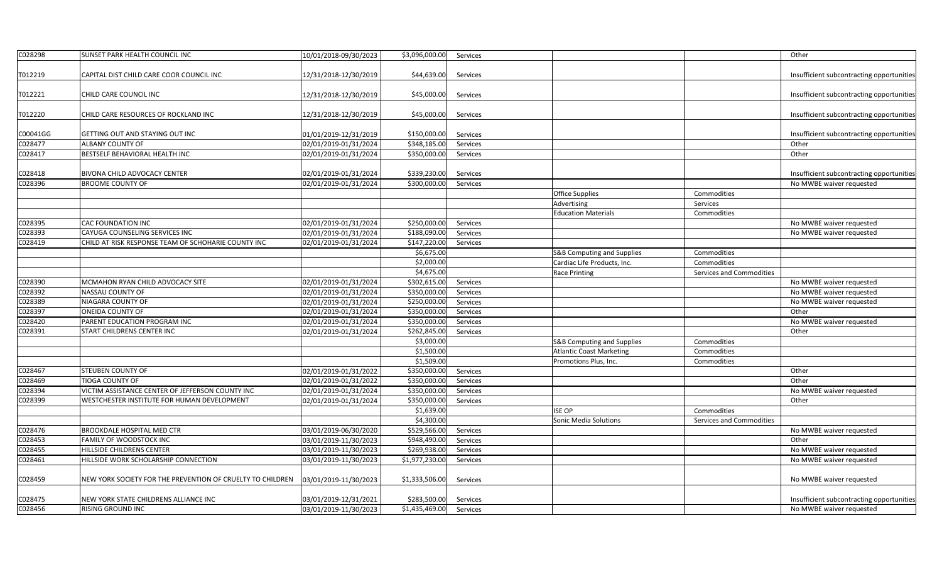| C028298  | SUNSET PARK HEALTH COUNCIL INC                             | 10/01/2018-09/30/2023 | \$3,096,000.00 | Services |                                       |                          | Other                                     |
|----------|------------------------------------------------------------|-----------------------|----------------|----------|---------------------------------------|--------------------------|-------------------------------------------|
| T012219  | CAPITAL DIST CHILD CARE COOR COUNCIL INC                   | 12/31/2018-12/30/2019 | \$44,639.00    | Services |                                       |                          | Insufficient subcontracting opportunities |
| T012221  | CHILD CARE COUNCIL INC                                     | 12/31/2018-12/30/2019 | \$45,000.00    | Services |                                       |                          | Insufficient subcontracting opportunities |
| T012220  | CHILD CARE RESOURCES OF ROCKLAND INC                       | 12/31/2018-12/30/2019 | \$45,000.00    | Services |                                       |                          | Insufficient subcontracting opportunities |
| C00041GG | GETTING OUT AND STAYING OUT INC                            | 01/01/2019-12/31/2019 | \$150,000.00   | Services |                                       |                          | Insufficient subcontracting opportunities |
| C028477  | <b>ALBANY COUNTY OF</b>                                    | 02/01/2019-01/31/2024 | \$348,185.00   | Services |                                       |                          | Other                                     |
| C028417  | BESTSELF BEHAVIORAL HEALTH INC                             | 02/01/2019-01/31/2024 | \$350,000.00   | Services |                                       |                          | Other                                     |
| C028418  | BIVONA CHILD ADVOCACY CENTER                               | 02/01/2019-01/31/2024 | \$339,230.00   | Services |                                       |                          | Insufficient subcontracting opportunities |
| C028396  | <b>BROOME COUNTY OF</b>                                    | 02/01/2019-01/31/2024 | \$300,000.00   | Services |                                       |                          | No MWBE waiver requested                  |
|          |                                                            |                       |                |          | Office Supplies                       | Commodities              |                                           |
|          |                                                            |                       |                |          | Advertising                           | Services                 |                                           |
|          |                                                            |                       |                |          | <b>Education Materials</b>            | Commodities              |                                           |
| C028395  | <b>CAC FOUNDATION INC</b>                                  | 02/01/2019-01/31/2024 | \$250,000.00   | Services |                                       |                          | No MWBE waiver requested                  |
| C028393  | CAYUGA COUNSELING SERVICES INC                             | 02/01/2019-01/31/2024 | \$188,090.00   | Services |                                       |                          | No MWBE waiver requested                  |
| C028419  | CHILD AT RISK RESPONSE TEAM OF SCHOHARIE COUNTY INC        | 02/01/2019-01/31/2024 | \$147,220.00   | Services |                                       |                          |                                           |
|          |                                                            |                       | \$6,675.00     |          | <b>S&amp;B Computing and Supplies</b> | Commodities              |                                           |
|          |                                                            |                       | \$2,000.00     |          | Cardiac Life Products, Inc.           | Commodities              |                                           |
|          |                                                            |                       | \$4,675.00     |          | <b>Race Printing</b>                  | Services and Commodities |                                           |
| C028390  | MCMAHON RYAN CHILD ADVOCACY SITE                           | 02/01/2019-01/31/2024 | \$302,615.00   | Services |                                       |                          | No MWBE waiver requested                  |
| C028392  | NASSAU COUNTY OF                                           | 02/01/2019-01/31/2024 | \$350,000.00   | Services |                                       |                          | No MWBE waiver requested                  |
| C028389  | NIAGARA COUNTY OF                                          | 02/01/2019-01/31/2024 | \$250,000.00   | Services |                                       |                          | No MWBE waiver requested                  |
| C028397  | ONEIDA COUNTY OF                                           | 02/01/2019-01/31/2024 | \$350,000.00   | Services |                                       |                          | Other                                     |
| C028420  | PARENT EDUCATION PROGRAM INC                               | 02/01/2019-01/31/2024 | \$350,000.00   | Services |                                       |                          | No MWBE waiver requested                  |
| C028391  | START CHILDRENS CENTER INC                                 | 02/01/2019-01/31/2024 | \$262,845.00   | Services |                                       |                          | Other                                     |
|          |                                                            |                       | \$3,000.00     |          | <b>S&amp;B Computing and Supplies</b> | Commodities              |                                           |
|          |                                                            |                       | \$1,500.00     |          | <b>Atlantic Coast Marketing</b>       | Commodities              |                                           |
|          |                                                            |                       | \$1,509.00     |          | Promotions Plus, Inc.                 | Commodities              |                                           |
| C028467  | <b>STEUBEN COUNTY OF</b>                                   | 02/01/2019-01/31/2022 | \$350,000.00   | Services |                                       |                          | Other                                     |
| C028469  | <b>TIOGA COUNTY OF</b>                                     | 02/01/2019-01/31/2022 | \$350,000.00   | Services |                                       |                          | Other                                     |
| C028394  | VICTIM ASSISTANCE CENTER OF JEFFERSON COUNTY INC           | 02/01/2019-01/31/2024 | \$350,000.00   | Services |                                       |                          | No MWBE waiver requested                  |
| C028399  | WESTCHESTER INSTITUTE FOR HUMAN DEVELOPMENT                | 02/01/2019-01/31/2024 | \$350,000.00   | Services |                                       |                          | Other                                     |
|          |                                                            |                       | \$1,639.00     |          | <b>ISE OP</b>                         | Commodities              |                                           |
|          |                                                            |                       | \$4,300.00     |          | Sonic Media Solutions                 | Services and Commodities |                                           |
| C028476  | BROOKDALE HOSPITAL MED CTR                                 | 03/01/2019-06/30/2020 | \$529,566.00   | Services |                                       |                          | No MWBE waiver requested                  |
| C028453  | FAMILY OF WOODSTOCK INC                                    | 03/01/2019-11/30/2023 | \$948,490.00   | Services |                                       |                          | Other                                     |
| C028455  | HILLSIDE CHILDRENS CENTER                                  | 03/01/2019-11/30/2023 | \$269,938.00   | Services |                                       |                          | No MWBE waiver requested                  |
| C028461  | HILLSIDE WORK SCHOLARSHIP CONNECTION                       | 03/01/2019-11/30/2023 | \$1,977,230.00 | Services |                                       |                          | No MWBE waiver requested                  |
| C028459  | NEW YORK SOCIETY FOR THE PREVENTION OF CRUELTY TO CHILDREN | 03/01/2019-11/30/2023 | \$1,333,506.00 | Services |                                       |                          | No MWBE waiver requested                  |
|          |                                                            |                       |                |          |                                       |                          |                                           |
| C028475  | NEW YORK STATE CHILDRENS ALLIANCE INC                      | 03/01/2019-12/31/2021 | \$283,500.00   | Services |                                       |                          | Insufficient subcontracting opportunities |
| C028456  | RISING GROUND INC                                          | 03/01/2019-11/30/2023 | \$1,435,469.00 | Services |                                       |                          | No MWBE waiver requested                  |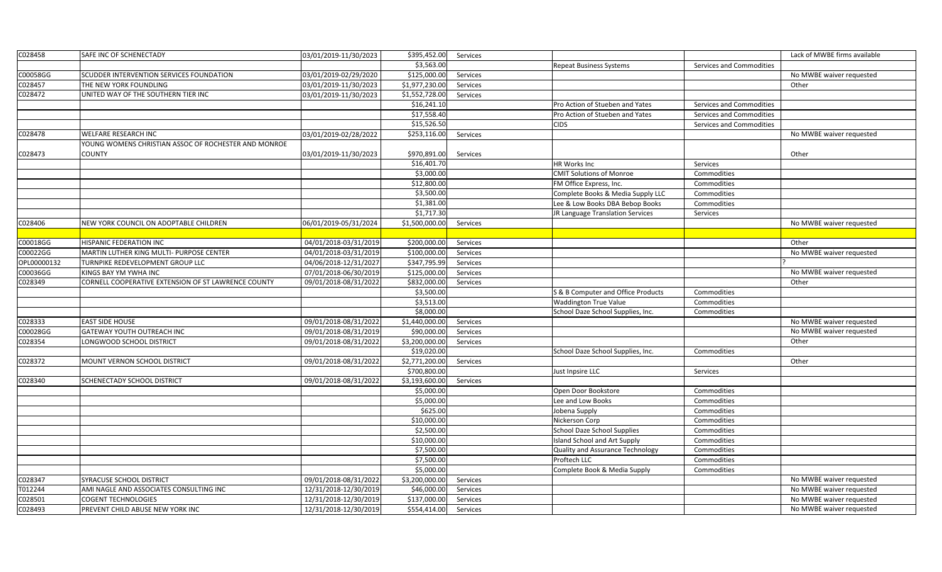| C028458     | SAFE INC OF SCHENECTADY                              | 03/01/2019-11/30/2023 | \$395,452.00             | Services |                                     |                          | Lack of MWBE firms available |
|-------------|------------------------------------------------------|-----------------------|--------------------------|----------|-------------------------------------|--------------------------|------------------------------|
|             |                                                      |                       | \$3,563.00               |          | Repeat Business Systems             | Services and Commodities |                              |
| C00058GG    | SCUDDER INTERVENTION SERVICES FOUNDATION             | 03/01/2019-02/29/2020 | \$125,000.00             | Services |                                     |                          | No MWBE waiver requested     |
| C028457     | THE NEW YORK FOUNDLING                               | 03/01/2019-11/30/2023 | \$1,977,230.00           | Services |                                     |                          | Other                        |
| C028472     | UNITED WAY OF THE SOUTHERN TIER INC                  | 03/01/2019-11/30/2023 | \$1,552,728.00           | Services |                                     |                          |                              |
|             |                                                      |                       | \$16,241.10              |          | Pro Action of Stueben and Yates     | Services and Commodities |                              |
|             |                                                      |                       | \$17,558.40              |          | Pro Action of Stueben and Yates     | Services and Commodities |                              |
|             |                                                      |                       | \$15,526.50              |          | <b>CIDS</b>                         | Services and Commodities |                              |
| C028478     | WELFARE RESEARCH INC                                 | 03/01/2019-02/28/2022 | \$253,116.00             | Services |                                     |                          | No MWBE waiver requested     |
|             | YOUNG WOMENS CHRISTIAN ASSOC OF ROCHESTER AND MONROE |                       |                          |          |                                     |                          |                              |
| C028473     | COUNTY                                               | 03/01/2019-11/30/2023 | \$970,891.00             | Services |                                     |                          | Other                        |
|             |                                                      |                       | \$16,401.70              |          | HR Works Inc                        | Services                 |                              |
|             |                                                      |                       | \$3,000.00               |          | <b>CMIT Solutions of Monroe</b>     | Commodities              |                              |
|             |                                                      |                       | \$12,800.00              |          | FM Office Express, Inc.             | Commodities              |                              |
|             |                                                      |                       | \$3,500.00               |          | Complete Books & Media Supply LLC   | Commodities              |                              |
|             |                                                      |                       | \$1,381.00               |          | Lee & Low Books DBA Bebop Books     | Commodities              |                              |
|             |                                                      |                       | \$1,717.30               |          | JR Language Translation Services    | Services                 |                              |
| C028406     | NEW YORK COUNCIL ON ADOPTABLE CHILDREN               | 06/01/2019-05/31/2024 | \$1,500,000.00           | Services |                                     |                          | No MWBE waiver requested     |
|             |                                                      |                       |                          |          |                                     |                          |                              |
| C00018GG    | HISPANIC FEDERATION INC                              | 04/01/2018-03/31/2019 | \$200,000.00             | Services |                                     |                          | Other                        |
| C00022GG    | MARTIN LUTHER KING MULTI- PURPOSE CENTER             | 04/01/2018-03/31/2019 | \$100,000.00             | Services |                                     |                          | No MWBE waiver requested     |
| OPL00000132 | TURNPIKE REDEVELOPMENT GROUP LLC                     | 04/06/2018-12/31/2027 | \$347,795.99             | Services |                                     |                          |                              |
| C00036GG    | KINGS BAY YM YWHA INC                                | 07/01/2018-06/30/2019 | \$125,000.00             | Services |                                     |                          | No MWBE waiver requested     |
| C028349     | CORNELL COOPERATIVE EXTENSION OF ST LAWRENCE COUNTY  | 09/01/2018-08/31/2022 | \$832,000.00             | Services |                                     |                          | Other                        |
|             |                                                      |                       | \$3,500.00               |          | S & B Computer and Office Products  | Commodities              |                              |
|             |                                                      |                       | \$3,513.00               |          | <b>Waddington True Value</b>        | Commodities              |                              |
|             |                                                      |                       | \$8,000.00               |          | School Daze School Supplies, Inc.   | Commodities              |                              |
| C028333     | <b>EAST SIDE HOUSE</b>                               | 09/01/2018-08/31/2022 | \$1,440,000.00           | Services |                                     |                          | No MWBE waiver requested     |
| C00028GG    | GATEWAY YOUTH OUTREACH INC                           | 09/01/2018-08/31/2019 | \$90,000.00              | Services |                                     |                          | No MWBE waiver requested     |
| C028354     | LONGWOOD SCHOOL DISTRICT                             | 09/01/2018-08/31/2022 | \$3,200,000.00           | Services |                                     |                          | Other                        |
|             |                                                      |                       | \$19,020.00              |          | School Daze School Supplies, Inc.   | Commodities              |                              |
| C028372     | MOUNT VERNON SCHOOL DISTRICT                         | 09/01/2018-08/31/2022 | \$2,771,200.00           | Services |                                     |                          | Other                        |
|             |                                                      |                       | \$700,800.00             |          | Just Inpsire LLC                    | Services                 |                              |
| C028340     | SCHENECTADY SCHOOL DISTRICT                          | 09/01/2018-08/31/2022 | \$3,193,600.00           | Services |                                     |                          |                              |
|             |                                                      |                       | \$5,000.00               |          | Open Door Bookstore                 | Commodities              |                              |
|             |                                                      |                       | \$5,000.00               |          | Lee and Low Books                   | Commodities              |                              |
|             |                                                      |                       | \$625.00                 |          | Jobena Supply                       | Commodities              |                              |
|             |                                                      |                       | \$10,000.00              |          | Nickerson Corp                      | Commodities              |                              |
|             |                                                      |                       | \$2,500.00               |          | <b>School Daze School Supplies</b>  | Commodities              |                              |
|             |                                                      |                       | \$10,000.00              |          | <b>Island School and Art Supply</b> | Commodities              |                              |
|             |                                                      |                       | \$7,500.00               |          | Quality and Assurance Technology    | Commodities              |                              |
|             |                                                      |                       | \$7,500.00               |          | Proftech LLC                        | Commodities              |                              |
|             |                                                      |                       | \$5,000.00               |          | Complete Book & Media Supply        | Commodities              |                              |
| C028347     | SYRACUSE SCHOOL DISTRICT                             | 09/01/2018-08/31/2022 | \$3,200,000.00           | Services |                                     |                          | No MWBE waiver requested     |
| T012244     | AMI NAGLE AND ASSOCIATES CONSULTING INC              | 12/31/2018-12/30/2019 | \$46,000.00              | Services |                                     |                          | No MWBE waiver requested     |
| C028501     | COGENT TECHNOLOGIES                                  | 12/31/2018-12/30/2019 | $\overline{$}137,000.00$ | Services |                                     |                          | No MWBE waiver requested     |
| C028493     | PREVENT CHILD ABUSE NEW YORK INC                     | 12/31/2018-12/30/2019 | \$554,414.00             | Services |                                     |                          | No MWBE waiver requested     |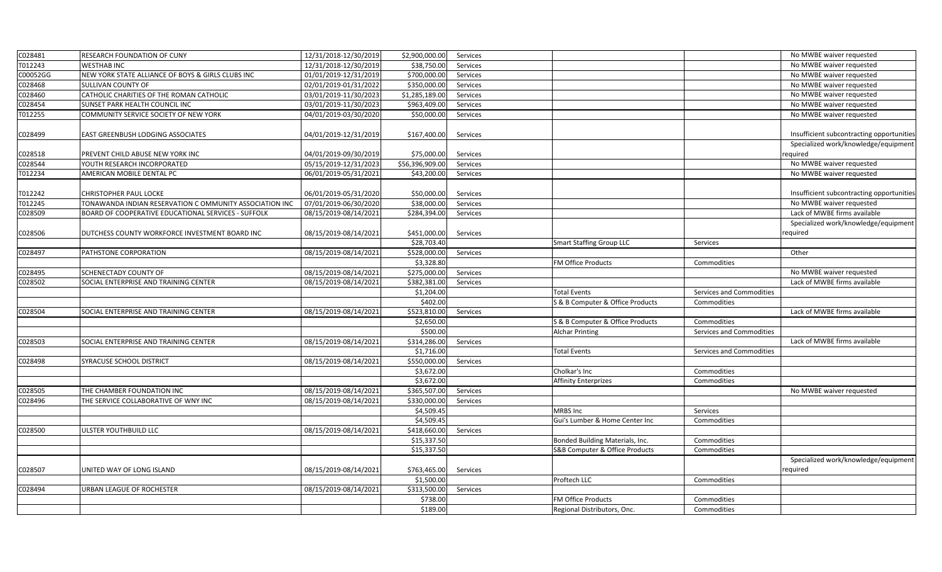| C028481  | RESEARCH FOUNDATION OF CUNY                             | 12/31/2018-12/30/2019 | \$2,900,000.00  | Services |                                  |                          | No MWBE waiver requested                  |
|----------|---------------------------------------------------------|-----------------------|-----------------|----------|----------------------------------|--------------------------|-------------------------------------------|
| T012243  | <b>WESTHAB INC</b>                                      | 12/31/2018-12/30/2019 | \$38,750.00     | Services |                                  |                          | No MWBE waiver requested                  |
| C00052GG | NEW YORK STATE ALLIANCE OF BOYS & GIRLS CLUBS INC       | 01/01/2019-12/31/2019 | \$700,000.00    | Services |                                  |                          | No MWBE waiver requested                  |
| C028468  | SULLIVAN COUNTY OF                                      | 02/01/2019-01/31/2022 | \$350,000.00    | Services |                                  |                          | No MWBE waiver requested                  |
| C028460  | CATHOLIC CHARITIES OF THE ROMAN CATHOLIC                | 03/01/2019-11/30/2023 | \$1,285,189.00  | Services |                                  |                          | No MWBE waiver requested                  |
| C028454  | SUNSET PARK HEALTH COUNCIL INC                          | 03/01/2019-11/30/2023 | \$963,409.00    | Services |                                  |                          | No MWBE waiver requested                  |
| T012255  | COMMUNITY SERVICE SOCIETY OF NEW YORK                   | 04/01/2019-03/30/2020 | \$50,000.00     | Services |                                  |                          | No MWBE waiver requested                  |
|          |                                                         |                       |                 |          |                                  |                          |                                           |
| C028499  | EAST GREENBUSH LODGING ASSOCIATES                       | 04/01/2019-12/31/2019 | \$167,400.00    | Services |                                  |                          | Insufficient subcontracting opportunities |
|          |                                                         |                       |                 |          |                                  |                          | Specialized work/knowledge/equipment      |
| C028518  | PREVENT CHILD ABUSE NEW YORK INC                        | 04/01/2019-09/30/2019 | \$75,000.00     | Services |                                  |                          | equired                                   |
| C028544  | YOUTH RESEARCH INCORPORATED                             | 05/15/2019-12/31/2023 | \$56,396,909.00 | Services |                                  |                          | No MWBE waiver requested                  |
| T012234  | AMERICAN MOBILE DENTAL PC                               | 06/01/2019-05/31/2021 | \$43,200.00     | Services |                                  |                          | No MWBE waiver requested                  |
|          |                                                         |                       |                 |          |                                  |                          |                                           |
| T012242  | CHRISTOPHER PAUL LOCKE                                  | 06/01/2019-05/31/2020 | \$50,000.00     | Services |                                  |                          | Insufficient subcontracting opportunities |
| T012245  | TONAWANDA INDIAN RESERVATION C OMMUNITY ASSOCIATION INC | 07/01/2019-06/30/2020 | \$38,000.00     | Services |                                  |                          | No MWBE waiver requested                  |
| C028509  | BOARD OF COOPERATIVE EDUCATIONAL SERVICES - SUFFOLK     | 08/15/2019-08/14/2021 | \$284,394.00    | Services |                                  |                          | Lack of MWBE firms available              |
|          |                                                         |                       |                 |          |                                  |                          | Specialized work/knowledge/equipment      |
| C028506  | DUTCHESS COUNTY WORKFORCE INVESTMENT BOARD INC          | 08/15/2019-08/14/2021 | \$451,000.00    | Services |                                  |                          | required                                  |
|          |                                                         |                       | \$28,703.40     |          | <b>Smart Staffing Group LLC</b>  | Services                 |                                           |
| C028497  | PATHSTONE CORPORATION                                   | 08/15/2019-08/14/2021 | \$528,000.00    | Services |                                  |                          | Other                                     |
|          |                                                         |                       | \$3,328.80      |          | FM Office Products               | Commodities              |                                           |
| C028495  | SCHENECTADY COUNTY OF                                   | 08/15/2019-08/14/2021 | \$275,000.00    | Services |                                  |                          | No MWBE waiver requested                  |
| C028502  | SOCIAL ENTERPRISE AND TRAINING CENTER                   | 08/15/2019-08/14/2021 | \$382,381.00    | Services |                                  |                          | Lack of MWBE firms available              |
|          |                                                         |                       | \$1,204.00      |          | <b>Total Events</b>              | Services and Commodities |                                           |
|          |                                                         |                       | \$402.00        |          | S & B Computer & Office Products | Commodities              |                                           |
| C028504  | SOCIAL ENTERPRISE AND TRAINING CENTER                   | 08/15/2019-08/14/2021 | 5523,810.00     | Services |                                  |                          | Lack of MWBE firms available              |
|          |                                                         |                       | \$2,650.00      |          | S & B Computer & Office Products | Commodities              |                                           |
|          |                                                         |                       | \$500.00        |          | <b>Alchar Printing</b>           | Services and Commodities |                                           |
| C028503  | SOCIAL ENTERPRISE AND TRAINING CENTER                   | 08/15/2019-08/14/2021 | \$314,286.00    | Services |                                  |                          | Lack of MWBE firms available              |
|          |                                                         |                       | \$1,716.00      |          | <b>Total Events</b>              | Services and Commodities |                                           |
| C028498  | SYRACUSE SCHOOL DISTRICT                                | 08/15/2019-08/14/2021 | \$550,000.00    | Services |                                  |                          |                                           |
|          |                                                         |                       | \$3,672.00      |          | Cholkar's Inc                    | Commodities              |                                           |
|          |                                                         |                       | \$3,672.00      |          | <b>Affinity Enterprizes</b>      | Commodities              |                                           |
| C028505  | THE CHAMBER FOUNDATION INC                              | 08/15/2019-08/14/2021 | \$365,507.00    | Services |                                  |                          | No MWBE waiver requested                  |
| C028496  | THE SERVICE COLLABORATIVE OF WNY INC                    | 08/15/2019-08/14/2021 | \$330,000.00    | Services |                                  |                          |                                           |
|          |                                                         |                       | \$4,509.45      |          | MRBS Inc                         | Services                 |                                           |
|          |                                                         |                       | \$4,509.45      |          | Gui's Lumber & Home Center Inc   | Commodities              |                                           |
| C028500  | ULSTER YOUTHBUILD LLC                                   | 08/15/2019-08/14/2021 | \$418,660.00    | Services |                                  |                          |                                           |
|          |                                                         |                       | \$15,337.50     |          | Bonded Building Materials, Inc.  | Commodities              |                                           |
|          |                                                         |                       | \$15,337.50     |          | S&B Computer & Office Products   | Commodities              |                                           |
|          |                                                         |                       |                 |          |                                  |                          | Specialized work/knowledge/equipment      |
| C028507  | JNITED WAY OF LONG ISLAND                               | 08/15/2019-08/14/2021 | \$763,465.00    | Services |                                  |                          | required                                  |
|          |                                                         |                       | \$1,500.00      |          | Proftech LLC                     | Commodities              |                                           |
| C028494  | URBAN LEAGUE OF ROCHESTER                               | 08/15/2019-08/14/2021 | \$313,500.00    | Services |                                  |                          |                                           |
|          |                                                         |                       | \$738.00        |          | FM Office Products               | Commodities              |                                           |
|          |                                                         |                       | \$189.00        |          | Regional Distributors, Onc.      | Commodities              |                                           |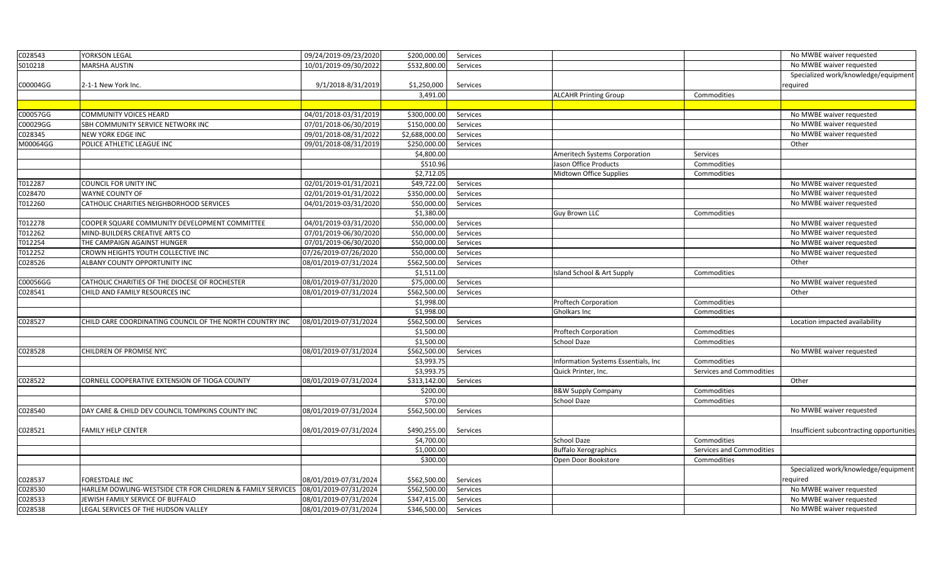| C028543  | YORKSON LEGAL                                              | 09/24/2019-09/23/2020 | \$200,000.00   | Services |                                      |                          | No MWBE waiver requested                  |
|----------|------------------------------------------------------------|-----------------------|----------------|----------|--------------------------------------|--------------------------|-------------------------------------------|
| S010218  | MARSHA AUSTIN                                              | 10/01/2019-09/30/2022 | \$532,800.00   | Services |                                      |                          | No MWBE waiver requested                  |
|          |                                                            |                       |                |          |                                      |                          | Specialized work/knowledge/equipment      |
| C00004GG | 2-1-1 New York Inc.                                        | 9/1/2018-8/31/2019    | \$1,250,000    | Services |                                      |                          | required                                  |
|          |                                                            |                       | 3,491.00       |          | <b>ALCAHR Printing Group</b>         | Commodities              |                                           |
|          |                                                            |                       |                |          |                                      |                          |                                           |
| C00057GG | COMMUNITY VOICES HEARD                                     | 04/01/2018-03/31/2019 | \$300,000.00   | Services |                                      |                          | No MWBE waiver requested                  |
| C00029GG | SBH COMMUNITY SERVICE NETWORK INC                          | 07/01/2018-06/30/2019 | \$150,000.00   | Services |                                      |                          | No MWBE waiver requested                  |
| C028345  | NEW YORK EDGE INC                                          | 09/01/2018-08/31/2022 | \$2,688,000.00 | Services |                                      |                          | No MWBE waiver requested                  |
| M00064GG | POLICE ATHLETIC LEAGUE INC                                 | 09/01/2018-08/31/2019 | \$250,000.00   | Services |                                      |                          | Other                                     |
|          |                                                            |                       | \$4,800.00     |          | Ameritech Systems Corporation        | Services                 |                                           |
|          |                                                            |                       | \$510.96       |          | Jason Office Products                | Commodities              |                                           |
|          |                                                            |                       | \$2,712.05     |          | Midtown Office Supplies              | Commodities              |                                           |
| T012287  | COUNCIL FOR UNITY INC                                      | 02/01/2019-01/31/2021 | \$49,722.00    | Services |                                      |                          | No MWBE waiver requested                  |
| C028470  | WAYNE COUNTY OF                                            | 02/01/2019-01/31/2022 | \$350,000.00   | Services |                                      |                          | No MWBE waiver requested                  |
| T012260  | CATHOLIC CHARITIES NEIGHBORHOOD SERVICES                   | 04/01/2019-03/31/2020 | \$50,000.00    | Services |                                      |                          | No MWBE waiver requested                  |
|          |                                                            |                       | \$1,380.00     |          | <b>Guy Brown LLC</b>                 | Commodities              |                                           |
| T012278  | COOPER SQUARE COMMUNITY DEVELOPMENT COMMITTEE              | 04/01/2019-03/31/2020 | \$50,000.00    | Services |                                      |                          | No MWBE waiver requested                  |
| T012262  | MIND-BUILDERS CREATIVE ARTS CO                             | 07/01/2019-06/30/2020 | \$50,000.00    | Services |                                      |                          | No MWBE waiver requested                  |
| T012254  | THE CAMPAIGN AGAINST HUNGER                                | 07/01/2019-06/30/2020 | \$50,000.00    | Services |                                      |                          | No MWBE waiver requested                  |
| T012252  | CROWN HEIGHTS YOUTH COLLECTIVE INC                         | 07/26/2019-07/26/2020 | \$50,000.00    | Services |                                      |                          | No MWBE waiver requested                  |
| C028526  | ALBANY COUNTY OPPORTUNITY INC                              | 08/01/2019-07/31/2024 | \$562,500.00   | Services |                                      |                          | Other                                     |
|          |                                                            |                       | \$1,511.00     |          | Island School & Art Supply           | Commodities              |                                           |
| C00056GG | CATHOLIC CHARITIES OF THE DIOCESE OF ROCHESTER             | 08/01/2019-07/31/2020 | \$75,000.00    | Services |                                      |                          | No MWBE waiver requested                  |
| C028541  | CHILD AND FAMILY RESOURCES INC                             | 08/01/2019-07/31/2024 | \$562,500.00   | Services |                                      |                          | Other                                     |
|          |                                                            |                       | \$1,998.00     |          | <b>Proftech Corporation</b>          | Commodities              |                                           |
|          |                                                            |                       | \$1,998.00     |          | <b>Gholkars Inc</b>                  | Commodities              |                                           |
| C028527  | CHILD CARE COORDINATING COUNCIL OF THE NORTH COUNTRY INC   | 08/01/2019-07/31/2024 | \$562,500.00   | Services |                                      |                          | Location impacted availability            |
|          |                                                            |                       | \$1,500.00     |          | <b>Proftech Corporation</b>          | Commodities              |                                           |
|          |                                                            |                       | \$1,500.00     |          | School Daze                          | Commodities              |                                           |
| C028528  | CHILDREN OF PROMISE NYC                                    | 08/01/2019-07/31/2024 | \$562,500.00   | Services |                                      |                          | No MWBE waiver requested                  |
|          |                                                            |                       | \$3,993.75     |          | Information Systems Essentials, Inc. | Commodities              |                                           |
|          |                                                            |                       | \$3,993.75     |          | Quick Printer, Inc.                  | Services and Commodities |                                           |
| C028522  | CORNELL COOPERATIVE EXTENSION OF TIOGA COUNTY              | 08/01/2019-07/31/2024 | \$313,142.00   | Services |                                      |                          | Other                                     |
|          |                                                            |                       | \$200.00       |          | <b>B&amp;W Supply Company</b>        | Commodities              |                                           |
|          |                                                            |                       | \$70.00        |          | <b>School Daze</b>                   | Commodities              |                                           |
| C028540  | DAY CARE & CHILD DEV COUNCIL TOMPKINS COUNTY INC           | 08/01/2019-07/31/2024 | \$562,500.00   | Services |                                      |                          | No MWBE waiver requested                  |
|          |                                                            |                       |                |          |                                      |                          |                                           |
| C028521  | FAMILY HELP CENTER                                         | 08/01/2019-07/31/2024 | \$490,255.00   | Services |                                      |                          | Insufficient subcontracting opportunities |
|          |                                                            |                       | \$4,700.00     |          | School Daze                          | Commodities              |                                           |
|          |                                                            |                       | \$1,000.00     |          | <b>Buffalo Xerographics</b>          | Services and Commodities |                                           |
|          |                                                            |                       | \$300.00       |          | Open Door Bookstore                  | Commodities              |                                           |
|          |                                                            |                       |                |          |                                      |                          | Specialized work/knowledge/equipment      |
| C028537  | FORESTDALE INC                                             | 08/01/2019-07/31/2024 | \$562,500.00   | Services |                                      |                          | reguired                                  |
| C028530  | HARLEM DOWLING-WESTSIDE CTR FOR CHILDREN & FAMILY SERVICES | 08/01/2019-07/31/2024 | \$562,500.00   | Services |                                      |                          | No MWBE waiver requested                  |
| C028533  | JEWISH FAMILY SERVICE OF BUFFALO                           | 08/01/2019-07/31/2024 | \$347,415.00   | Services |                                      |                          | No MWBE waiver requested                  |
| C028538  | LEGAL SERVICES OF THE HUDSON VALLEY                        | 08/01/2019-07/31/2024 | \$346,500.00   | Services |                                      |                          | No MWBE waiver requested                  |